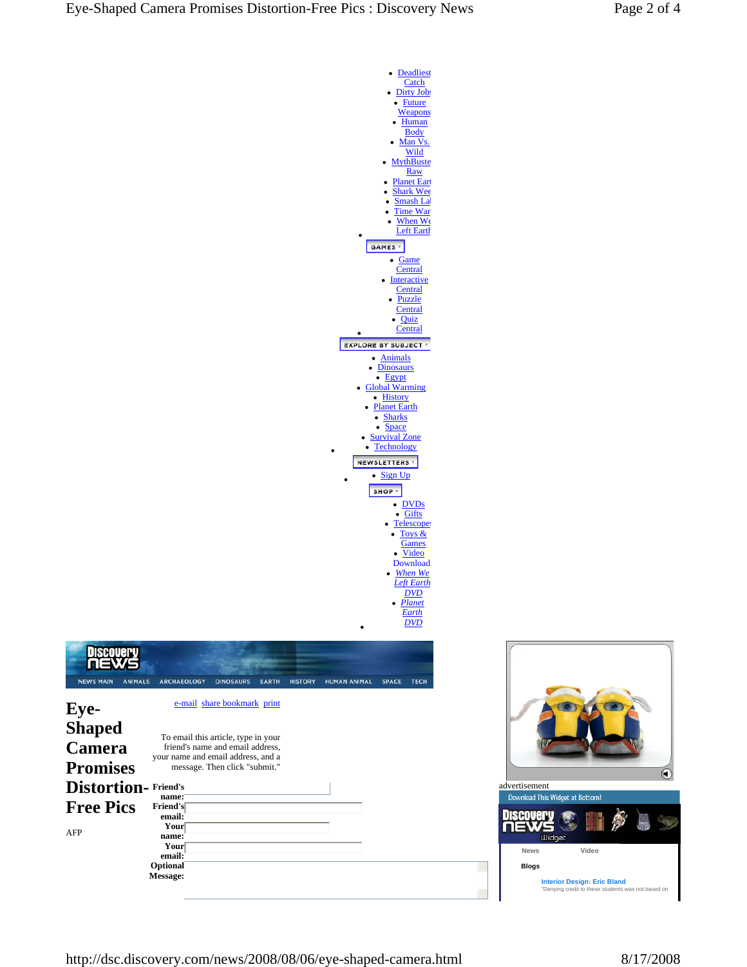| <b>Deadliest</b>                                                 |
|------------------------------------------------------------------|
| Catch                                                            |
| Dirty Jobs<br><u>Future</u>                                      |
| <b>Weapons</b>                                                   |
| Human                                                            |
| <u>Body</u><br>Man Vs.                                           |
| <u>Wild</u>                                                      |
| <b>MythBuste</b>                                                 |
| <b>Raw</b><br><b>Planet Earl</b>                                 |
| <b>Shark Wee</b>                                                 |
| Smash La                                                         |
| <b>Time War</b><br>When We                                       |
| <b>Left Earth</b>                                                |
| GAMES                                                            |
| Game<br>$\bullet$                                                |
| <b>Central</b>                                                   |
| <b>Interactive</b>                                               |
| <b>Central</b><br><b>Puzzle</b>                                  |
| <b>Central</b>                                                   |
| Quiz                                                             |
| <b>Central</b>                                                   |
| <b>EXPLORE BY SUBJECT *</b>                                      |
| <b>Animals</b><br><b>Dinosaurs</b>                               |
| Egypt<br>$\bullet$                                               |
| <b>Global Warming</b>                                            |
| • History<br><b>Planet Earth</b>                                 |
| <b>Sharks</b>                                                    |
| <b>Space</b><br><b>Survival Zone</b>                             |
| <b>Technology</b>                                                |
| <b>NEWSLETTERS</b>                                               |
| Sign Up                                                          |
| SHOP T                                                           |
| • DVDs                                                           |
| Gifts<br>٠                                                       |
| <b>Telescope</b>                                                 |
| $Toys$ &<br>Games                                                |
| Video                                                            |
| Download                                                         |
| <b>When We</b><br>Left Earth                                     |
| <u>DVD</u>                                                       |
| Planet<br>Earth                                                  |
| <u>DVD</u>                                                       |
|                                                                  |
|                                                                  |
|                                                                  |
| <b>DRY</b><br><b>TECH</b><br><b>HUMAN ANIMAL</b><br><b>SPACE</b> |
|                                                                  |
|                                                                  |
|                                                                  |
|                                                                  |
|                                                                  |



Discovery<br>**NEWS** 

NEWS MAIN ANIMALS ARCHAEOLOGY DINOSAURS EARTH HIST

AFP

| e-mail share bookmark print                                                                                                                    |  |
|------------------------------------------------------------------------------------------------------------------------------------------------|--|
| To email this article, type in your<br>friend's name and email address,<br>your name and email address, and a<br>message. Then click "submit." |  |
| <b>Friend's</b><br>name:                                                                                                                       |  |
| Friend's<br>email:                                                                                                                             |  |
| Your<br>name:                                                                                                                                  |  |
| Your<br>email:                                                                                                                                 |  |
| Optional<br>Message:                                                                                                                           |  |

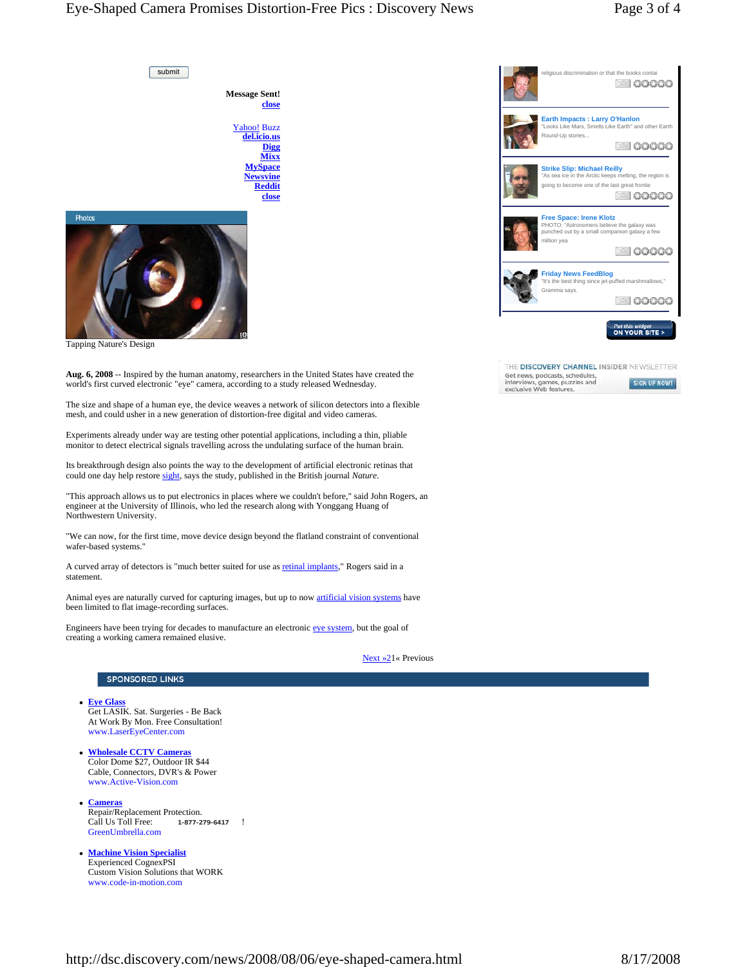# Eye-Shaped Camera Promises Distortion-Free Pics : Discovery News Page 3 of 4

submit

**Message Sent! close** Yahoo! Buzz

**del.icio.us Digg Mixx MySpace Newsvine Reddit close**



Tapping Nature's Design

**Aug. 6, 2008** -- Inspired by the human anatomy, researchers in the United States have created the world's first curved electronic "eye" camera, according to a study released Wednesday.

The size and shape of a human eye, the device weaves a network of silicon detectors into a flexible mesh, and could usher in a new generation of distortion-free digital and video cameras.

Experiments already under way are testing other potential applications, including a thin, pliable monitor to detect electrical signals travelling across the undulating surface of the human brain.

Its breakthrough design also points the way to the development of artificial electronic retinas that could one day help restore sight, says the study, published in the British journal *Nature*.

"This approach allows us to put electronics in places where we couldn't before," said John Rogers, an engineer at the University of Illinois, who led the research along with Yonggang Huang of Northwestern University.

"We can now, for the first time, move device design beyond the flatland constraint of conventional wafer-based systems."

A curved array of detectors is "much better suited for use as retinal implants," Rogers said in a statement.

Animal eyes are naturally curved for capturing images, but up to now artificial vision systems have been limited to flat image-recording surfaces.

Engineers have been trying for decades to manufacture an electronic eye system, but the goal of creating a working camera remained elusive.



#### **SPONSORED LINKS**

- <sup>z</sup> **Eye Glass** Get LASIK. Sat. Surgeries - Be Back At Work By Mon. Free Consultation! www.LaserEyeCenter.com
- <sup>z</sup> **Wholesale CCTV Cameras** Color Dome \$27, Outdoor IR \$44 Cable, Connectors, DVR's & Power www.Active-Vision.com
- <sup>z</sup> **Cameras** Repair/Replacement Protection.<br>Call Us Toll Free: 1-877-2 Call Us Toll Free: **1-877-279-6417** ! GreenUmbrella.com
- **Machine Vision Specialist** Experienced CognexPSI Custom Vision Solutions that WORK www.code-in-motion.com



| THE DISCOVERY CHANNEL INSIDER NEWSLETTER                 |              |
|----------------------------------------------------------|--------------|
| Get news, podcasts, schedules,                           |              |
| interviews, games, puzzles and<br>exclusive Web features | SIGN UP NOW! |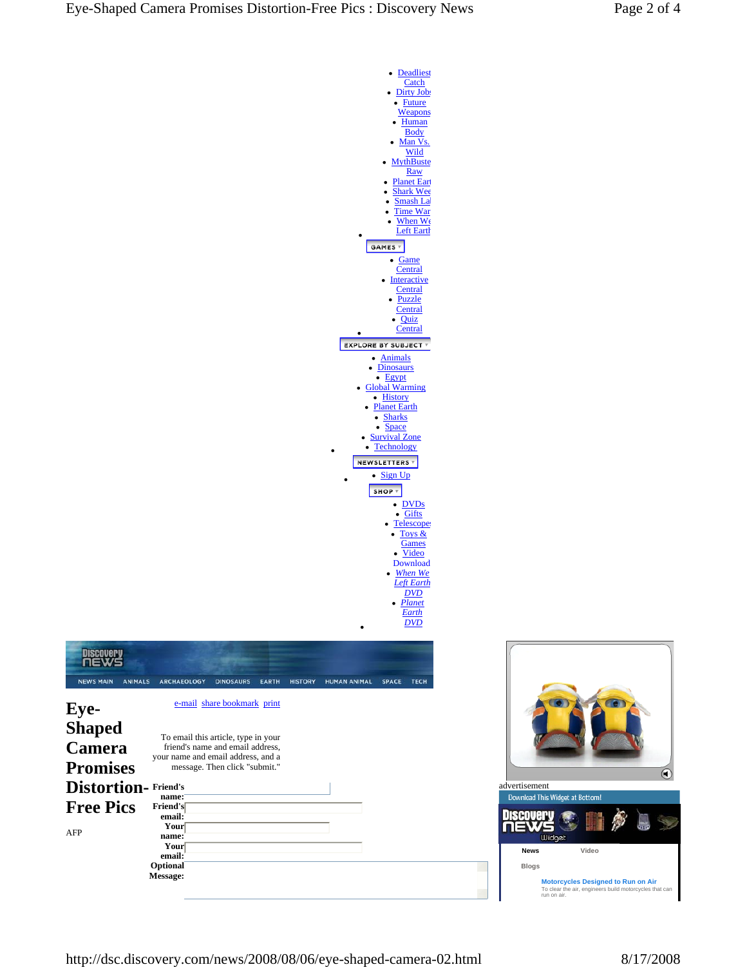| <b>Deadliest</b>                                   |
|----------------------------------------------------|
| <b>Catch</b>                                       |
| Dirty Jobs                                         |
| <b>Future</b><br>٠                                 |
| <b>Weapons</b><br><b>Human</b>                     |
| <b>Body</b>                                        |
| Man Vs.                                            |
| Wild                                               |
| <b>MythBuste</b>                                   |
| <u>Raw</u>                                         |
| <b>Planet Earl</b>                                 |
| <b>Shark Wee</b><br>Smash La                       |
| <b>Time War</b>                                    |
| When We                                            |
| <b>Left Earth</b>                                  |
| GAMES                                              |
|                                                    |
| Game<br>٠<br>Central                               |
| <b>Interactive</b>                                 |
| <b>Central</b>                                     |
| <u>Puzzle</u>                                      |
| Central                                            |
| Quiz                                               |
| <b>Central</b>                                     |
| <b>EXPLORE BY SUBJECT *</b>                        |
| <b>Animals</b>                                     |
| <b>Dinosaurs</b>                                   |
| · Egypt                                            |
| <b>Global Warming</b>                              |
| • History                                          |
| <b>Planet Earth</b>                                |
| • Sharks<br><b>Space</b>                           |
| <b>Survival Zone</b>                               |
| <b>Technology</b>                                  |
| <b>NEWSLETTERS</b>                                 |
|                                                    |
| Sign Up                                            |
| SHOP <sub>v</sub>                                  |
| DVD <sub>s</sub>                                   |
| Gifts<br>٠                                         |
| Telescope                                          |
| <u>Toys &amp;</u>                                  |
| <b>Games</b>                                       |
| Video<br><b>Download</b>                           |
| When We                                            |
| <b>Left Earth</b>                                  |
| <u>DVD</u>                                         |
| Planet                                             |
| <u>Earth</u>                                       |
| DVD                                                |
|                                                    |
|                                                    |
|                                                    |
|                                                    |
| <b>HUMAN ANIMAL</b><br><b>SPACE</b><br><b>TECH</b> |
|                                                    |
|                                                    |
|                                                    |
|                                                    |